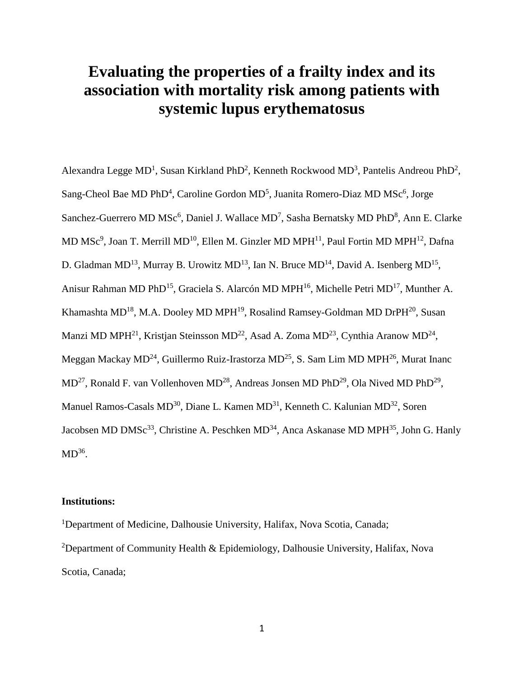# **Evaluating the properties of a frailty index and its association with mortality risk among patients with systemic lupus erythematosus**

Alexandra Legge MD<sup>1</sup>, Susan Kirkland PhD<sup>2</sup>, Kenneth Rockwood MD<sup>3</sup>, Pantelis Andreou PhD<sup>2</sup>, Sang-Cheol Bae MD PhD<sup>4</sup>, Caroline Gordon MD<sup>5</sup>, Juanita Romero-Diaz MD MSc<sup>6</sup>, Jorge Sanchez-Guerrero MD MSc<sup>6</sup>, Daniel J. Wallace MD<sup>7</sup>, Sasha Bernatsky MD PhD<sup>8</sup>, Ann E. Clarke MD MSc<sup>9</sup>, Joan T. Merrill MD<sup>10</sup>, Ellen M. Ginzler MD MPH<sup>11</sup>, Paul Fortin MD MPH<sup>12</sup>, Dafna D. Gladman MD<sup>13</sup>, Murray B. Urowitz MD<sup>13</sup>, Ian N. Bruce MD<sup>14</sup>, David A. Isenberg MD<sup>15</sup>, Anisur Rahman MD PhD<sup>15</sup>, Graciela S. Alarcón MD MPH<sup>16</sup>, Michelle Petri MD<sup>17</sup>, Munther A. Khamashta MD<sup>18</sup>, M.A. Dooley MD MPH<sup>19</sup>, Rosalind Ramsey-Goldman MD DrPH<sup>20</sup>, Susan Manzi MD MPH<sup>21</sup>, Kristjan Steinsson MD<sup>22</sup>, Asad A. Zoma MD<sup>23</sup>, Cynthia Aranow MD<sup>24</sup>, Meggan Mackay  $MD^{24}$ , Guillermo Ruiz-Irastorza  $MD^{25}$ , S. Sam Lim MD MPH<sup>26</sup>, Murat Inanc  $MD^{27}$ , Ronald F. van Vollenhoven MD<sup>28</sup>, Andreas Jonsen MD PhD<sup>29</sup>, Ola Nived MD PhD<sup>29</sup>, Manuel Ramos-Casals MD<sup>30</sup>, Diane L. Kamen MD<sup>31</sup>, Kenneth C. Kalunian MD<sup>32</sup>, Soren Jacobsen MD DMSc<sup>33</sup>, Christine A. Peschken MD<sup>34</sup>, Anca Askanase MD MPH<sup>35</sup>, John G. Hanly  $MD^{36}$ .

# **Institutions:**

<sup>1</sup>Department of Medicine, Dalhousie University, Halifax, Nova Scotia, Canada; <sup>2</sup>Department of Community Health & Epidemiology, Dalhousie University, Halifax, Nova Scotia, Canada;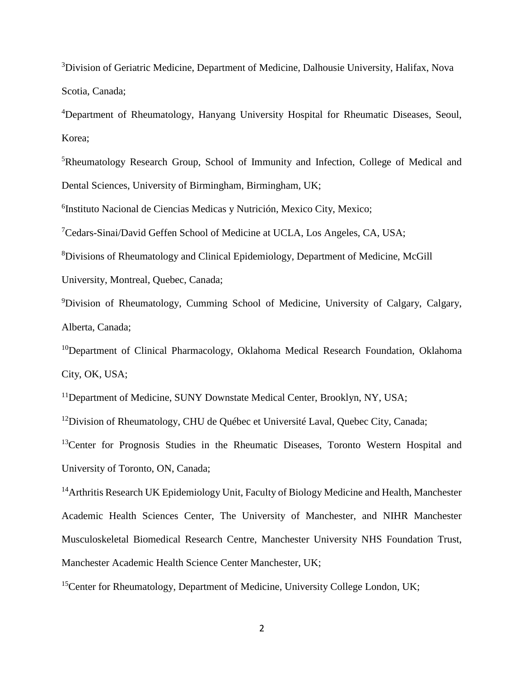<sup>3</sup>Division of Geriatric Medicine, Department of Medicine, Dalhousie University, Halifax, Nova Scotia, Canada;

<sup>4</sup>Department of Rheumatology, Hanyang University Hospital for Rheumatic Diseases, Seoul, Korea;

<sup>5</sup>Rheumatology Research Group, School of Immunity and Infection, College of Medical and Dental Sciences, University of Birmingham, Birmingham, UK;

6 Instituto Nacional de Ciencias Medicas y Nutrición, Mexico City, Mexico;

<sup>7</sup>Cedars-Sinai/David Geffen School of Medicine at UCLA, Los Angeles, CA, USA;

<sup>8</sup>Divisions of Rheumatology and Clinical Epidemiology, Department of Medicine, McGill

University, Montreal, Quebec, Canada;

<sup>9</sup>Division of Rheumatology, Cumming School of Medicine, University of Calgary, Calgary, Alberta, Canada;

<sup>10</sup>Department of Clinical Pharmacology, Oklahoma Medical Research Foundation, Oklahoma City, OK, USA;

<sup>11</sup>Department of Medicine, SUNY Downstate Medical Center, Brooklyn, NY, USA;

 $12$ Division of Rheumatology, CHU de Québec et Université Laval, Quebec City, Canada;

<sup>13</sup>Center for Prognosis Studies in the Rheumatic Diseases, Toronto Western Hospital and University of Toronto, ON, Canada;

<sup>14</sup>Arthritis Research UK Epidemiology Unit, Faculty of Biology Medicine and Health, Manchester Academic Health Sciences Center, The University of Manchester, and NIHR Manchester Musculoskeletal Biomedical Research Centre, Manchester University NHS Foundation Trust, Manchester Academic Health Science Center Manchester, UK;

<sup>15</sup>Center for Rheumatology, Department of Medicine, University College London, UK;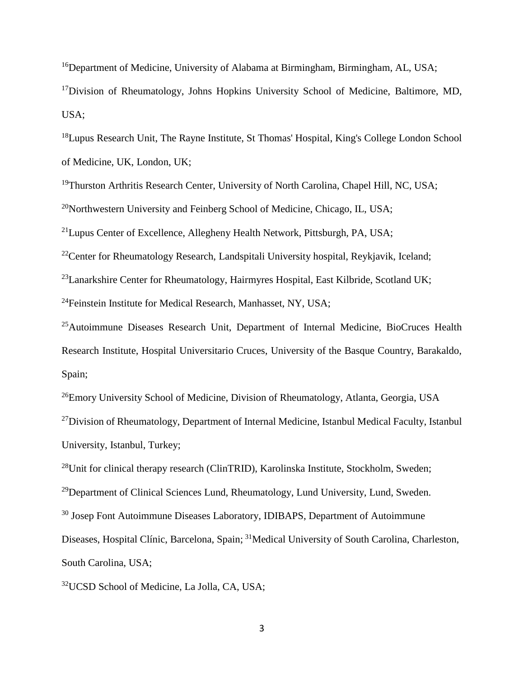<sup>16</sup>Department of Medicine, University of Alabama at Birmingham, Birmingham, AL, USA;  $17$ Division of Rheumatology, Johns Hopkins University School of Medicine, Baltimore, MD, USA;

<sup>18</sup>Lupus Research Unit, The Rayne Institute, St Thomas' Hospital, King's College London School of Medicine, UK, London, UK;

<sup>19</sup>Thurston Arthritis Research Center, University of North Carolina, Chapel Hill, NC, USA;

<sup>20</sup>Northwestern University and Feinberg School of Medicine, Chicago, IL, USA;

<sup>21</sup>Lupus Center of Excellence, Allegheny Health Network, Pittsburgh, PA, USA;

<sup>22</sup>Center for Rheumatology Research, Landspitali University hospital, Reykjavik, Iceland;

<sup>23</sup>Lanarkshire Center for Rheumatology, Hairmyres Hospital, East Kilbride, Scotland UK;

<sup>24</sup>Feinstein Institute for Medical Research, Manhasset, NY, USA;

<sup>25</sup>Autoimmune Diseases Research Unit, Department of Internal Medicine, BioCruces Health Research Institute, Hospital Universitario Cruces, University of the Basque Country, Barakaldo, Spain;

<sup>26</sup>Emory University School of Medicine, Division of Rheumatology, Atlanta, Georgia, USA

<sup>27</sup>Division of Rheumatology, Department of Internal Medicine, Istanbul Medical Faculty, Istanbul University, Istanbul, Turkey;

<sup>28</sup>Unit for clinical therapy research (ClinTRID), Karolinska Institute, Stockholm, Sweden;

<sup>29</sup>Department of Clinical Sciences Lund, Rheumatology, Lund University, Lund, Sweden.

<sup>30</sup> Josep Font Autoimmune Diseases Laboratory, IDIBAPS, Department of Autoimmune

Diseases, Hospital Clínic, Barcelona, Spain; <sup>31</sup>Medical University of South Carolina, Charleston,

South Carolina, USA;

<sup>32</sup>UCSD School of Medicine, La Jolla, CA, USA;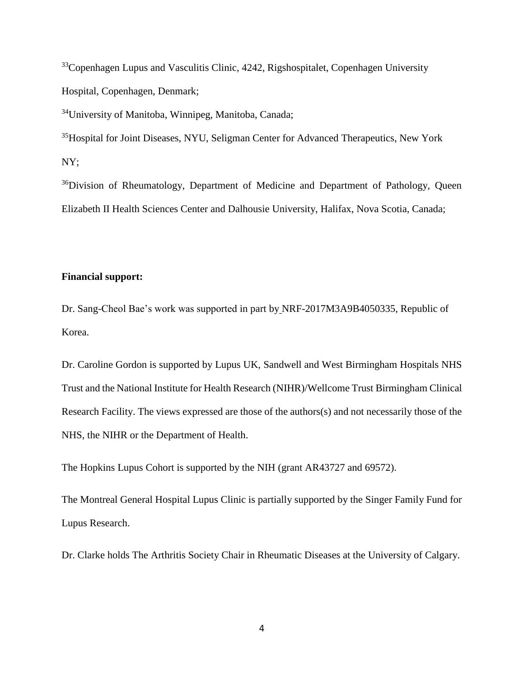<sup>33</sup>Copenhagen Lupus and Vasculitis Clinic, 4242, Rigshospitalet, Copenhagen University Hospital, Copenhagen, Denmark;

<sup>34</sup>University of Manitoba, Winnipeg, Manitoba, Canada;

<sup>35</sup>Hospital for Joint Diseases, NYU, Seligman Center for Advanced Therapeutics, New York NY;

<sup>36</sup>Division of Rheumatology, Department of Medicine and Department of Pathology, Queen Elizabeth II Health Sciences Center and Dalhousie University, Halifax, Nova Scotia, Canada;

## **Financial support:**

Dr. Sang-Cheol Bae's work was supported in part by NRF-2017M3A9B4050335, Republic of Korea.

Dr. Caroline Gordon is supported by Lupus UK, Sandwell and West Birmingham Hospitals NHS Trust and the National Institute for Health Research (NIHR)/Wellcome Trust Birmingham Clinical Research Facility. The views expressed are those of the authors(s) and not necessarily those of the NHS, the NIHR or the Department of Health.

The Hopkins Lupus Cohort is supported by the NIH (grant AR43727 and 69572).

The Montreal General Hospital Lupus Clinic is partially supported by the Singer Family Fund for Lupus Research.

Dr. Clarke holds The Arthritis Society Chair in Rheumatic Diseases at the University of Calgary.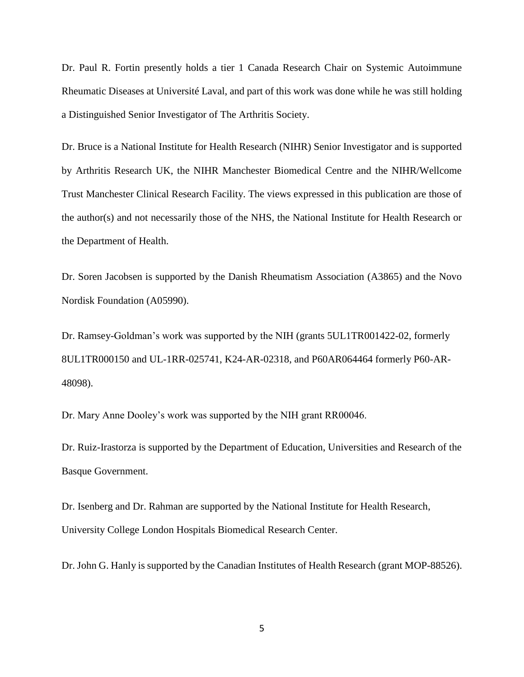Dr. Paul R. Fortin presently holds a tier 1 Canada Research Chair on Systemic Autoimmune Rheumatic Diseases at Université Laval, and part of this work was done while he was still holding a Distinguished Senior Investigator of The Arthritis Society.

Dr. Bruce is a National Institute for Health Research (NIHR) Senior Investigator and is supported by Arthritis Research UK, the NIHR Manchester Biomedical Centre and the NIHR/Wellcome Trust Manchester Clinical Research Facility. The views expressed in this publication are those of the author(s) and not necessarily those of the NHS, the National Institute for Health Research or the Department of Health.

Dr. Soren Jacobsen is supported by the Danish Rheumatism Association (A3865) and the Novo Nordisk Foundation (A05990).

Dr. Ramsey-Goldman's work was supported by the NIH (grants 5UL1TR001422-02, formerly 8UL1TR000150 and UL-1RR-025741, K24-AR-02318, and P60AR064464 formerly P60-AR-48098).

Dr. Mary Anne Dooley's work was supported by the NIH grant RR00046.

Dr. Ruiz-Irastorza is supported by the Department of Education, Universities and Research of the Basque Government.

Dr. Isenberg and Dr. Rahman are supported by the National Institute for Health Research, University College London Hospitals Biomedical Research Center.

Dr. John G. Hanly is supported by the Canadian Institutes of Health Research (grant MOP-88526).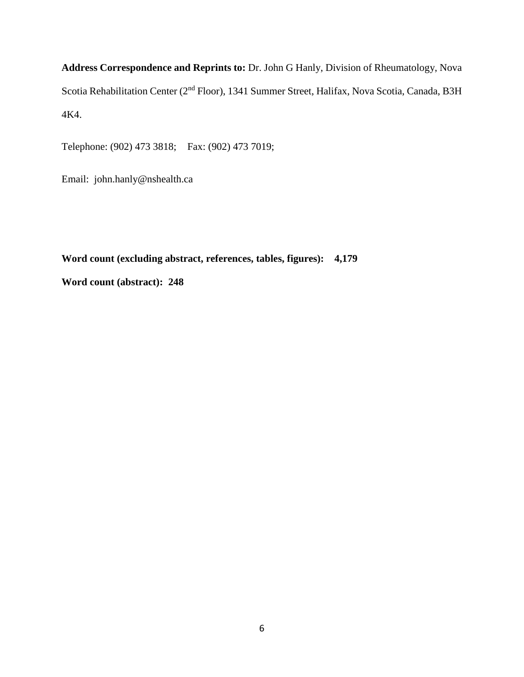**Address Correspondence and Reprints to:** Dr. John G Hanly, Division of Rheumatology, Nova Scotia Rehabilitation Center (2<sup>nd</sup> Floor), 1341 Summer Street, Halifax, Nova Scotia, Canada, B3H 4K4.

Telephone: (902) 473 3818; Fax: (902) 473 7019;

Email: john.hanly@nshealth.ca

**Word count (excluding abstract, references, tables, figures): 4,179 Word count (abstract): 248**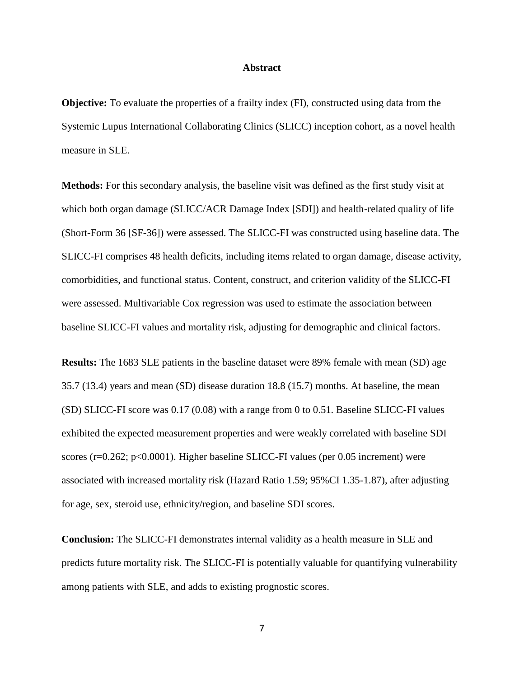#### **Abstract**

**Objective:** To evaluate the properties of a frailty index (FI), constructed using data from the Systemic Lupus International Collaborating Clinics (SLICC) inception cohort, as a novel health measure in SLE.

**Methods:** For this secondary analysis, the baseline visit was defined as the first study visit at which both organ damage (SLICC/ACR Damage Index [SDI]) and health-related quality of life (Short-Form 36 [SF-36]) were assessed. The SLICC-FI was constructed using baseline data. The SLICC-FI comprises 48 health deficits, including items related to organ damage, disease activity, comorbidities, and functional status. Content, construct, and criterion validity of the SLICC-FI were assessed. Multivariable Cox regression was used to estimate the association between baseline SLICC-FI values and mortality risk, adjusting for demographic and clinical factors.

**Results:** The 1683 SLE patients in the baseline dataset were 89% female with mean (SD) age 35.7 (13.4) years and mean (SD) disease duration 18.8 (15.7) months. At baseline, the mean (SD) SLICC-FI score was 0.17 (0.08) with a range from 0 to 0.51. Baseline SLICC-FI values exhibited the expected measurement properties and were weakly correlated with baseline SDI scores (r=0.262; p<0.0001). Higher baseline SLICC-FI values (per 0.05 increment) were associated with increased mortality risk (Hazard Ratio 1.59; 95%CI 1.35-1.87), after adjusting for age, sex, steroid use, ethnicity/region, and baseline SDI scores.

**Conclusion:** The SLICC-FI demonstrates internal validity as a health measure in SLE and predicts future mortality risk. The SLICC-FI is potentially valuable for quantifying vulnerability among patients with SLE, and adds to existing prognostic scores.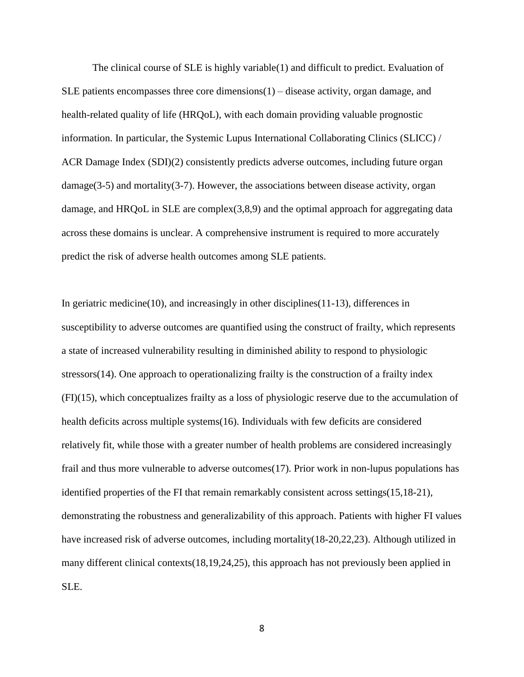The clinical course of SLE is highly variable(1) and difficult to predict. Evaluation of SLE patients encompasses three core dimensions $(1)$  – disease activity, organ damage, and health-related quality of life (HRQoL), with each domain providing valuable prognostic information. In particular, the Systemic Lupus International Collaborating Clinics (SLICC) / ACR Damage Index (SDI)(2) consistently predicts adverse outcomes, including future organ damage( $3-5$ ) and mortality( $3-7$ ). However, the associations between disease activity, organ damage, and HRQoL in SLE are complex(3,8,9) and the optimal approach for aggregating data across these domains is unclear. A comprehensive instrument is required to more accurately predict the risk of adverse health outcomes among SLE patients.

In geriatric medicine(10), and increasingly in other disciplines(11-13), differences in susceptibility to adverse outcomes are quantified using the construct of frailty, which represents a state of increased vulnerability resulting in diminished ability to respond to physiologic stressors(14). One approach to operationalizing frailty is the construction of a frailty index (FI)(15), which conceptualizes frailty as a loss of physiologic reserve due to the accumulation of health deficits across multiple systems(16). Individuals with few deficits are considered relatively fit, while those with a greater number of health problems are considered increasingly frail and thus more vulnerable to adverse outcomes(17). Prior work in non-lupus populations has identified properties of the FI that remain remarkably consistent across settings(15,18-21), demonstrating the robustness and generalizability of this approach. Patients with higher FI values have increased risk of adverse outcomes, including mortality(18-20,22,23). Although utilized in many different clinical contexts(18,19,24,25), this approach has not previously been applied in SLE.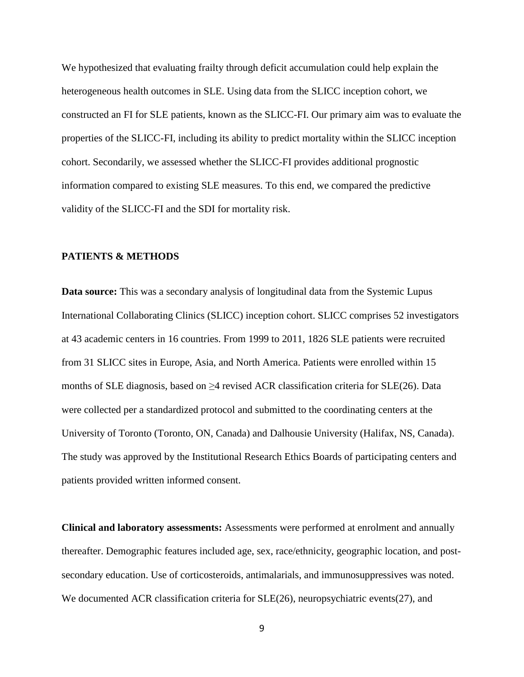We hypothesized that evaluating frailty through deficit accumulation could help explain the heterogeneous health outcomes in SLE. Using data from the SLICC inception cohort, we constructed an FI for SLE patients, known as the SLICC-FI. Our primary aim was to evaluate the properties of the SLICC-FI, including its ability to predict mortality within the SLICC inception cohort. Secondarily, we assessed whether the SLICC-FI provides additional prognostic information compared to existing SLE measures. To this end, we compared the predictive validity of the SLICC-FI and the SDI for mortality risk.

## **PATIENTS & METHODS**

**Data source:** This was a secondary analysis of longitudinal data from the Systemic Lupus International Collaborating Clinics (SLICC) inception cohort. SLICC comprises 52 investigators at 43 academic centers in 16 countries. From 1999 to 2011, 1826 SLE patients were recruited from 31 SLICC sites in Europe, Asia, and North America. Patients were enrolled within 15 months of SLE diagnosis, based on  $\geq$ 4 revised ACR classification criteria for SLE(26). Data were collected per a standardized protocol and submitted to the coordinating centers at the University of Toronto (Toronto, ON, Canada) and Dalhousie University (Halifax, NS, Canada). The study was approved by the Institutional Research Ethics Boards of participating centers and patients provided written informed consent.

**Clinical and laboratory assessments:** Assessments were performed at enrolment and annually thereafter. Demographic features included age, sex, race/ethnicity, geographic location, and postsecondary education. Use of corticosteroids, antimalarials, and immunosuppressives was noted. We documented ACR classification criteria for SLE(26), neuropsychiatric events(27), and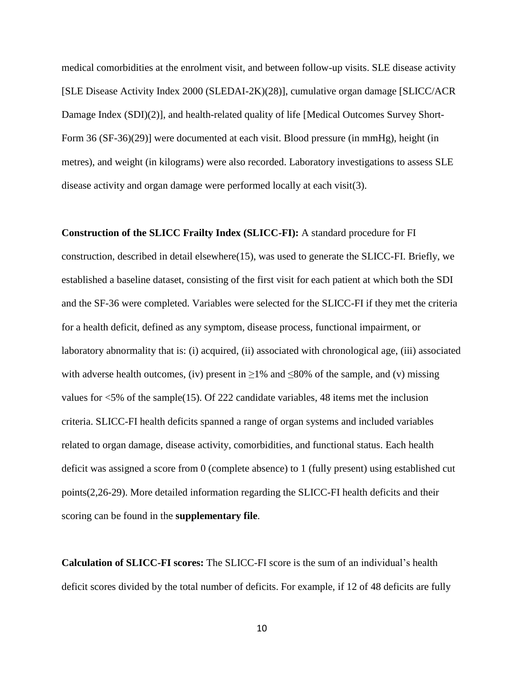medical comorbidities at the enrolment visit, and between follow-up visits. SLE disease activity [SLE Disease Activity Index 2000 (SLEDAI-2K)(28)], cumulative organ damage [SLICC/ACR Damage Index (SDI)(2)], and health-related quality of life [Medical Outcomes Survey Short-Form 36 (SF-36)(29)] were documented at each visit. Blood pressure (in mmHg), height (in metres), and weight (in kilograms) were also recorded. Laboratory investigations to assess SLE disease activity and organ damage were performed locally at each visit(3).

**Construction of the SLICC Frailty Index (SLICC-FI):** A standard procedure for FI construction, described in detail elsewhere(15), was used to generate the SLICC-FI. Briefly, we established a baseline dataset, consisting of the first visit for each patient at which both the SDI and the SF-36 were completed. Variables were selected for the SLICC-FI if they met the criteria for a health deficit, defined as any symptom, disease process, functional impairment, or laboratory abnormality that is: (i) acquired, (ii) associated with chronological age, (iii) associated with adverse health outcomes, (iv) present in  $\geq$ 1% and  $\leq$ 80% of the sample, and (v) missing values for <5% of the sample(15). Of 222 candidate variables, 48 items met the inclusion criteria. SLICC-FI health deficits spanned a range of organ systems and included variables related to organ damage, disease activity, comorbidities, and functional status. Each health deficit was assigned a score from 0 (complete absence) to 1 (fully present) using established cut points(2,26-29). More detailed information regarding the SLICC-FI health deficits and their scoring can be found in the **supplementary file**.

**Calculation of SLICC-FI scores:** The SLICC-FI score is the sum of an individual's health deficit scores divided by the total number of deficits. For example, if 12 of 48 deficits are fully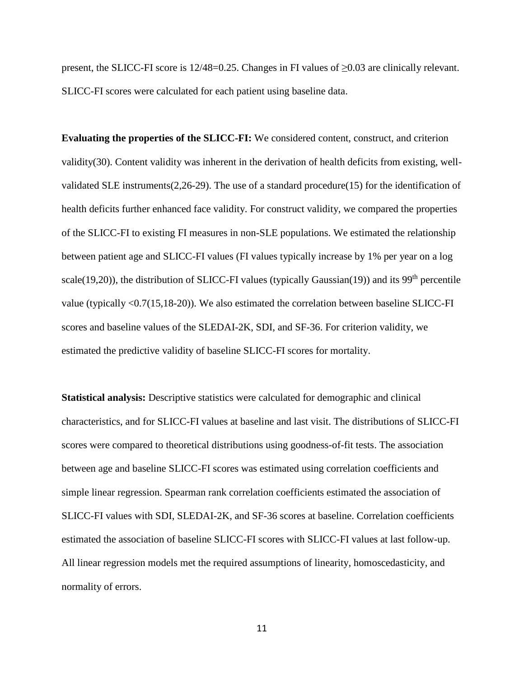present, the SLICC-FI score is 12/48=0.25. Changes in FI values of ≥0.03 are clinically relevant. SLICC-FI scores were calculated for each patient using baseline data.

**Evaluating the properties of the SLICC-FI:** We considered content, construct, and criterion validity(30). Content validity was inherent in the derivation of health deficits from existing, wellvalidated SLE instruments(2,26-29). The use of a standard procedure(15) for the identification of health deficits further enhanced face validity. For construct validity, we compared the properties of the SLICC-FI to existing FI measures in non-SLE populations. We estimated the relationship between patient age and SLICC-FI values (FI values typically increase by 1% per year on a log scale(19,20)), the distribution of SLICC-FI values (typically Gaussian(19)) and its 99<sup>th</sup> percentile value (typically <0.7(15,18-20)). We also estimated the correlation between baseline SLICC-FI scores and baseline values of the SLEDAI-2K, SDI, and SF-36. For criterion validity, we estimated the predictive validity of baseline SLICC-FI scores for mortality.

**Statistical analysis:** Descriptive statistics were calculated for demographic and clinical characteristics, and for SLICC-FI values at baseline and last visit. The distributions of SLICC-FI scores were compared to theoretical distributions using goodness-of-fit tests. The association between age and baseline SLICC-FI scores was estimated using correlation coefficients and simple linear regression. Spearman rank correlation coefficients estimated the association of SLICC-FI values with SDI, SLEDAI-2K, and SF-36 scores at baseline. Correlation coefficients estimated the association of baseline SLICC-FI scores with SLICC-FI values at last follow-up. All linear regression models met the required assumptions of linearity, homoscedasticity, and normality of errors.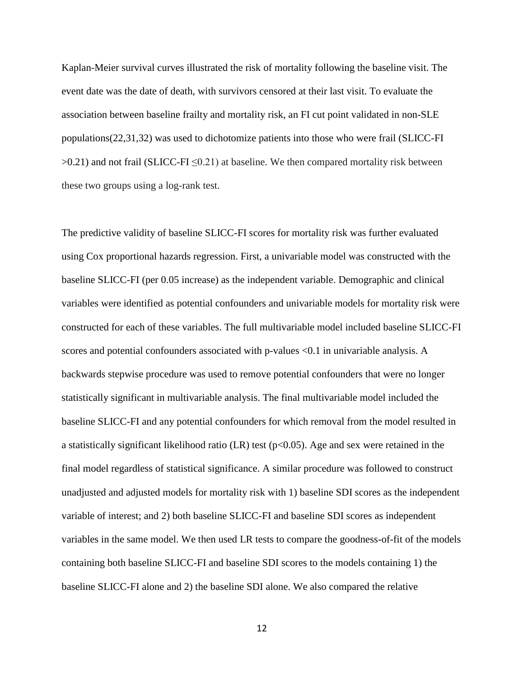Kaplan-Meier survival curves illustrated the risk of mortality following the baseline visit. The event date was the date of death, with survivors censored at their last visit. To evaluate the association between baseline frailty and mortality risk, an FI cut point validated in non-SLE populations(22,31,32) was used to dichotomize patients into those who were frail (SLICC-FI  $>0.21$ ) and not frail (SLICC-FI  $\leq 0.21$ ) at baseline. We then compared mortality risk between these two groups using a log-rank test.

The predictive validity of baseline SLICC-FI scores for mortality risk was further evaluated using Cox proportional hazards regression. First, a univariable model was constructed with the baseline SLICC-FI (per 0.05 increase) as the independent variable. Demographic and clinical variables were identified as potential confounders and univariable models for mortality risk were constructed for each of these variables. The full multivariable model included baseline SLICC-FI scores and potential confounders associated with p-values <0.1 in univariable analysis. A backwards stepwise procedure was used to remove potential confounders that were no longer statistically significant in multivariable analysis. The final multivariable model included the baseline SLICC-FI and any potential confounders for which removal from the model resulted in a statistically significant likelihood ratio (LR) test ( $p<0.05$ ). Age and sex were retained in the final model regardless of statistical significance. A similar procedure was followed to construct unadjusted and adjusted models for mortality risk with 1) baseline SDI scores as the independent variable of interest; and 2) both baseline SLICC-FI and baseline SDI scores as independent variables in the same model. We then used LR tests to compare the goodness-of-fit of the models containing both baseline SLICC-FI and baseline SDI scores to the models containing 1) the baseline SLICC-FI alone and 2) the baseline SDI alone. We also compared the relative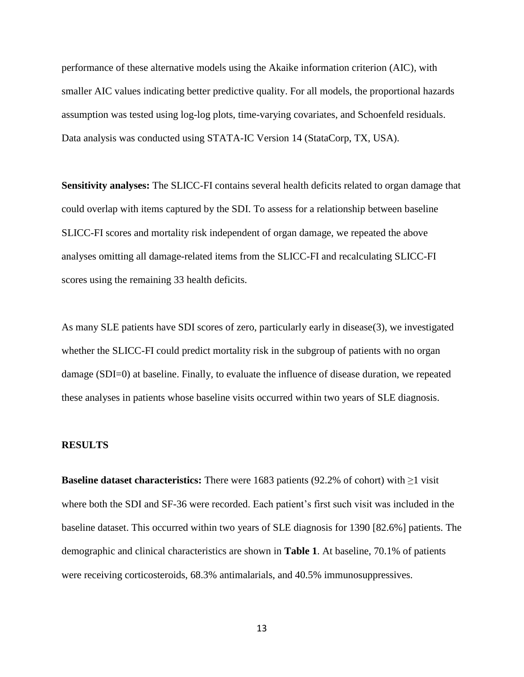performance of these alternative models using the Akaike information criterion (AIC), with smaller AIC values indicating better predictive quality. For all models, the proportional hazards assumption was tested using log-log plots, time-varying covariates, and Schoenfeld residuals. Data analysis was conducted using STATA-IC Version 14 (StataCorp, TX, USA).

**Sensitivity analyses:** The SLICC-FI contains several health deficits related to organ damage that could overlap with items captured by the SDI. To assess for a relationship between baseline SLICC-FI scores and mortality risk independent of organ damage, we repeated the above analyses omitting all damage-related items from the SLICC-FI and recalculating SLICC-FI scores using the remaining 33 health deficits.

As many SLE patients have SDI scores of zero, particularly early in disease(3), we investigated whether the SLICC-FI could predict mortality risk in the subgroup of patients with no organ damage (SDI=0) at baseline. Finally, to evaluate the influence of disease duration, we repeated these analyses in patients whose baseline visits occurred within two years of SLE diagnosis.

### **RESULTS**

**Baseline dataset characteristics:** There were 1683 patients (92.2% of cohort) with  $\geq$ 1 visit where both the SDI and SF-36 were recorded. Each patient's first such visit was included in the baseline dataset. This occurred within two years of SLE diagnosis for 1390 [82.6%] patients. The demographic and clinical characteristics are shown in **Table 1**. At baseline, 70.1% of patients were receiving corticosteroids, 68.3% antimalarials, and 40.5% immunosuppressives.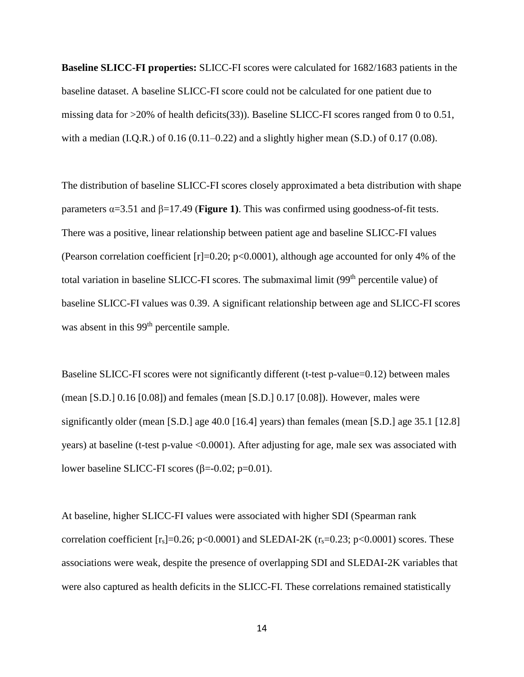**Baseline SLICC-FI properties:** SLICC-FI scores were calculated for 1682/1683 patients in the baseline dataset. A baseline SLICC-FI score could not be calculated for one patient due to missing data for >20% of health deficits(33)). Baseline SLICC-FI scores ranged from 0 to 0.51, with a median (I.Q.R.) of  $0.16$  ( $0.11-0.22$ ) and a slightly higher mean (S.D.) of  $0.17$  ( $0.08$ ).

The distribution of baseline SLICC-FI scores closely approximated a beta distribution with shape parameters α=3.51 and β=17.49 (**Figure 1)**. This was confirmed using goodness-of-fit tests. There was a positive, linear relationship between patient age and baseline SLICC-FI values (Pearson correlation coefficient [r]=0.20; p<0.0001), although age accounted for only 4% of the total variation in baseline SLICC-FI scores. The submaximal limit (99<sup>th</sup> percentile value) of baseline SLICC-FI values was 0.39. A significant relationship between age and SLICC-FI scores was absent in this 99<sup>th</sup> percentile sample.

Baseline SLICC-FI scores were not significantly different (t-test p-value=0.12) between males (mean [S.D.] 0.16 [0.08]) and females (mean [S.D.] 0.17 [0.08]). However, males were significantly older (mean [S.D.] age 40.0 [16.4] years) than females (mean [S.D.] age 35.1 [12.8] years) at baseline (t-test p-value <0.0001). After adjusting for age, male sex was associated with lower baseline SLICC-FI scores (β=-0.02; p=0.01).

At baseline, higher SLICC-FI values were associated with higher SDI (Spearman rank correlation coefficient  $[r_s]=0.26$ ; p<0.0001) and SLEDAI-2K  $(r_s=0.23; p<0.0001)$  scores. These associations were weak, despite the presence of overlapping SDI and SLEDAI-2K variables that were also captured as health deficits in the SLICC-FI. These correlations remained statistically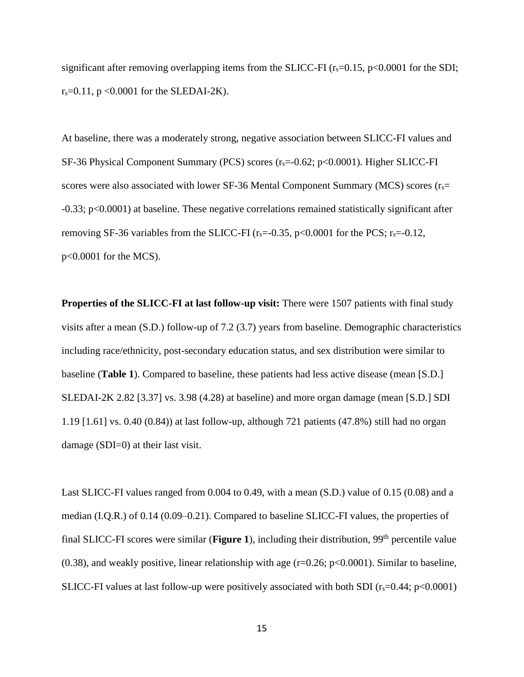significant after removing overlapping items from the SLICC-FI  $(r_s=0.15, p<0.0001$  for the SDI;  $r_s = 0.11$ , p < 0.0001 for the SLEDAI-2K).

At baseline, there was a moderately strong, negative association between SLICC-FI values and SF-36 Physical Component Summary (PCS) scores  $(r_s=0.62; p<0.0001)$ . Higher SLICC-FI scores were also associated with lower SF-36 Mental Component Summary (MCS) scores  $(r<sub>s</sub>=$ -0.33; p<0.0001) at baseline. These negative correlations remained statistically significant after removing SF-36 variables from the SLICC-FI ( $r_s$ =-0.35, p<0.0001 for the PCS;  $r_s$ =-0.12, p<0.0001 for the MCS).

**Properties of the SLICC-FI at last follow-up visit:** There were 1507 patients with final study visits after a mean (S.D.) follow-up of 7.2 (3.7) years from baseline. Demographic characteristics including race/ethnicity, post-secondary education status, and sex distribution were similar to baseline (**Table 1**). Compared to baseline, these patients had less active disease (mean [S.D.] SLEDAI-2K 2.82 [3.37] vs. 3.98 (4.28) at baseline) and more organ damage (mean [S.D.] SDI 1.19 [1.61] vs. 0.40 (0.84)) at last follow-up, although 721 patients (47.8%) still had no organ damage (SDI=0) at their last visit.

Last SLICC-FI values ranged from 0.004 to 0.49, with a mean (S.D.) value of 0.15 (0.08) and a median (I.Q.R.) of 0.14 (0.09–0.21). Compared to baseline SLICC-FI values, the properties of final SLICC-FI scores were similar (**Figure 1**), including their distribution, 99th percentile value  $(0.38)$ , and weakly positive, linear relationship with age  $(r=0.26; p<0.0001)$ . Similar to baseline, SLICC-FI values at last follow-up were positively associated with both SDI  $(r_s=0.44; p<0.0001)$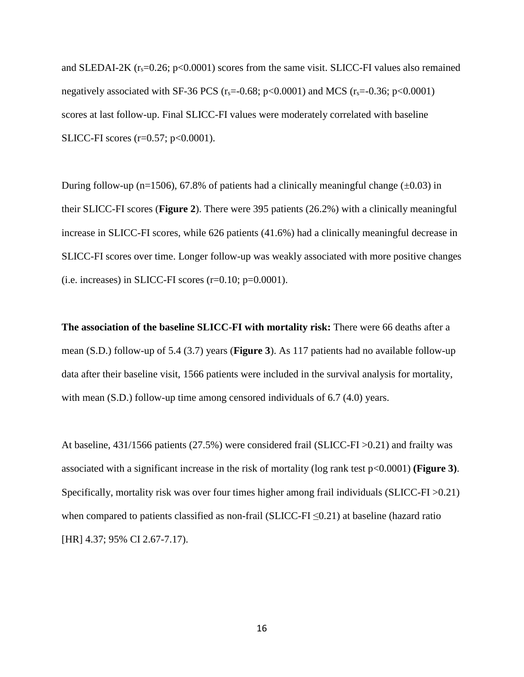and SLEDAI-2K  $(r_s=0.26; p<0.0001)$  scores from the same visit. SLICC-FI values also remained negatively associated with SF-36 PCS ( $r_s$ =-0.68; p<0.0001) and MCS ( $r_s$ =-0.36; p<0.0001) scores at last follow-up. Final SLICC-FI values were moderately correlated with baseline SLICC-FI scores  $(r=0.57; p<0.0001)$ .

During follow-up (n=1506), 67.8% of patients had a clinically meaningful change ( $\pm$ 0.03) in their SLICC-FI scores (**Figure 2**). There were 395 patients (26.2%) with a clinically meaningful increase in SLICC-FI scores, while 626 patients (41.6%) had a clinically meaningful decrease in SLICC-FI scores over time. Longer follow-up was weakly associated with more positive changes (i.e. increases) in SLICC-FI scores  $(r=0.10; p=0.0001)$ .

**The association of the baseline SLICC-FI with mortality risk:** There were 66 deaths after a mean (S.D.) follow-up of 5.4 (3.7) years (**Figure 3**). As 117 patients had no available follow-up data after their baseline visit, 1566 patients were included in the survival analysis for mortality, with mean (S.D.) follow-up time among censored individuals of 6.7 (4.0) years.

At baseline, 431/1566 patients (27.5%) were considered frail (SLICC-FI >0.21) and frailty was associated with a significant increase in the risk of mortality (log rank test p<0.0001) **(Figure 3)**. Specifically, mortality risk was over four times higher among frail individuals (SLICC-FI >0.21) when compared to patients classified as non-frail (SLICC-FI  $\leq 0.21$ ) at baseline (hazard ratio [HR] 4.37; 95% CI 2.67-7.17).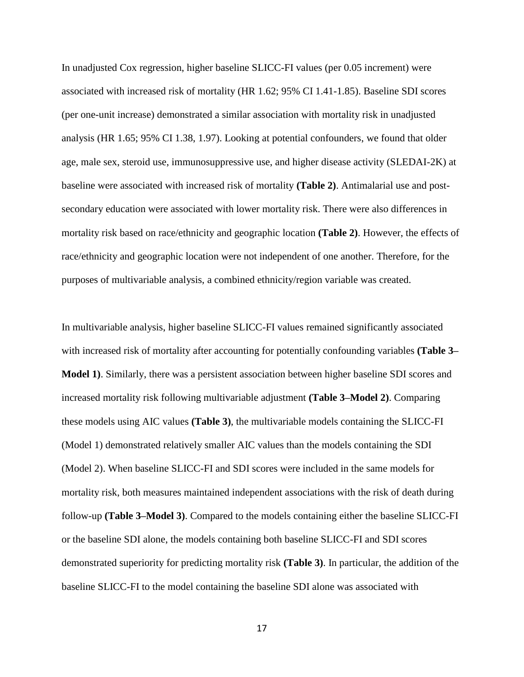In unadjusted Cox regression, higher baseline SLICC-FI values (per 0.05 increment) were associated with increased risk of mortality (HR 1.62; 95% CI 1.41-1.85). Baseline SDI scores (per one-unit increase) demonstrated a similar association with mortality risk in unadjusted analysis (HR 1.65; 95% CI 1.38, 1.97). Looking at potential confounders, we found that older age, male sex, steroid use, immunosuppressive use, and higher disease activity (SLEDAI-2K) at baseline were associated with increased risk of mortality **(Table 2)**. Antimalarial use and postsecondary education were associated with lower mortality risk. There were also differences in mortality risk based on race/ethnicity and geographic location **(Table 2)**. However, the effects of race/ethnicity and geographic location were not independent of one another. Therefore, for the purposes of multivariable analysis, a combined ethnicity/region variable was created.

In multivariable analysis, higher baseline SLICC-FI values remained significantly associated with increased risk of mortality after accounting for potentially confounding variables **(Table 3– Model 1)**. Similarly, there was a persistent association between higher baseline SDI scores and increased mortality risk following multivariable adjustment **(Table 3–Model 2)**. Comparing these models using AIC values **(Table 3)**, the multivariable models containing the SLICC-FI (Model 1) demonstrated relatively smaller AIC values than the models containing the SDI (Model 2). When baseline SLICC-FI and SDI scores were included in the same models for mortality risk, both measures maintained independent associations with the risk of death during follow-up **(Table 3–Model 3)**. Compared to the models containing either the baseline SLICC-FI or the baseline SDI alone, the models containing both baseline SLICC-FI and SDI scores demonstrated superiority for predicting mortality risk **(Table 3)**. In particular, the addition of the baseline SLICC-FI to the model containing the baseline SDI alone was associated with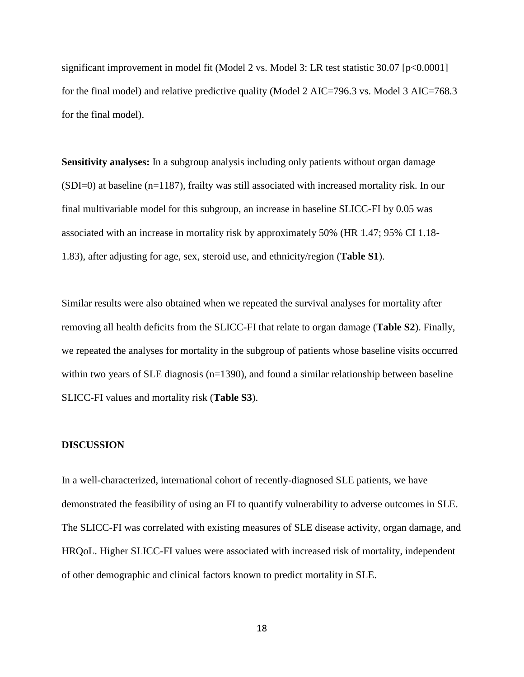significant improvement in model fit (Model 2 vs. Model 3: LR test statistic 30.07 [p<0.0001] for the final model) and relative predictive quality (Model 2 AIC=796.3 vs. Model 3 AIC=768.3 for the final model).

**Sensitivity analyses:** In a subgroup analysis including only patients without organ damage (SDI=0) at baseline (n=1187), frailty was still associated with increased mortality risk. In our final multivariable model for this subgroup, an increase in baseline SLICC-FI by 0.05 was associated with an increase in mortality risk by approximately 50% (HR 1.47; 95% CI 1.18- 1.83), after adjusting for age, sex, steroid use, and ethnicity/region (**Table S1**).

Similar results were also obtained when we repeated the survival analyses for mortality after removing all health deficits from the SLICC-FI that relate to organ damage (**Table S2**). Finally, we repeated the analyses for mortality in the subgroup of patients whose baseline visits occurred within two years of SLE diagnosis (n=1390), and found a similar relationship between baseline SLICC-FI values and mortality risk (**Table S3**).

### **DISCUSSION**

In a well-characterized, international cohort of recently-diagnosed SLE patients, we have demonstrated the feasibility of using an FI to quantify vulnerability to adverse outcomes in SLE. The SLICC-FI was correlated with existing measures of SLE disease activity, organ damage, and HRQoL. Higher SLICC-FI values were associated with increased risk of mortality, independent of other demographic and clinical factors known to predict mortality in SLE.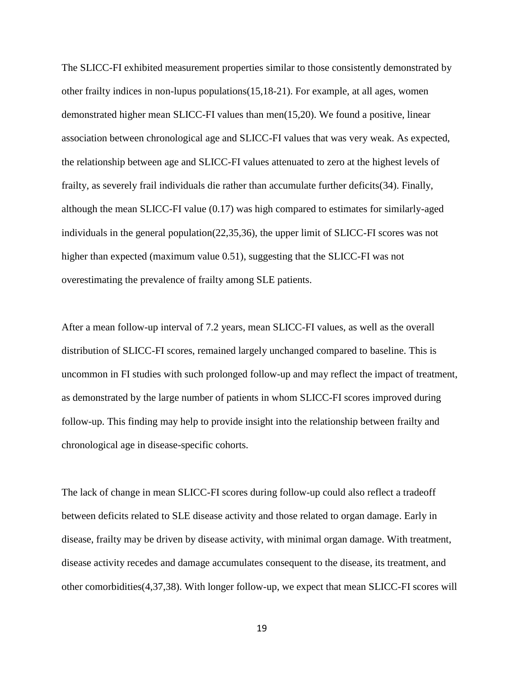The SLICC-FI exhibited measurement properties similar to those consistently demonstrated by other frailty indices in non-lupus populations(15,18-21). For example, at all ages, women demonstrated higher mean SLICC-FI values than men(15,20). We found a positive, linear association between chronological age and SLICC-FI values that was very weak. As expected, the relationship between age and SLICC-FI values attenuated to zero at the highest levels of frailty, as severely frail individuals die rather than accumulate further deficits(34). Finally, although the mean SLICC-FI value (0.17) was high compared to estimates for similarly-aged individuals in the general population(22,35,36), the upper limit of SLICC-FI scores was not higher than expected (maximum value 0.51), suggesting that the SLICC-FI was not overestimating the prevalence of frailty among SLE patients.

After a mean follow-up interval of 7.2 years, mean SLICC-FI values, as well as the overall distribution of SLICC-FI scores, remained largely unchanged compared to baseline. This is uncommon in FI studies with such prolonged follow-up and may reflect the impact of treatment, as demonstrated by the large number of patients in whom SLICC-FI scores improved during follow-up. This finding may help to provide insight into the relationship between frailty and chronological age in disease-specific cohorts.

The lack of change in mean SLICC-FI scores during follow-up could also reflect a tradeoff between deficits related to SLE disease activity and those related to organ damage. Early in disease, frailty may be driven by disease activity, with minimal organ damage. With treatment, disease activity recedes and damage accumulates consequent to the disease, its treatment, and other comorbidities(4,37,38). With longer follow-up, we expect that mean SLICC-FI scores will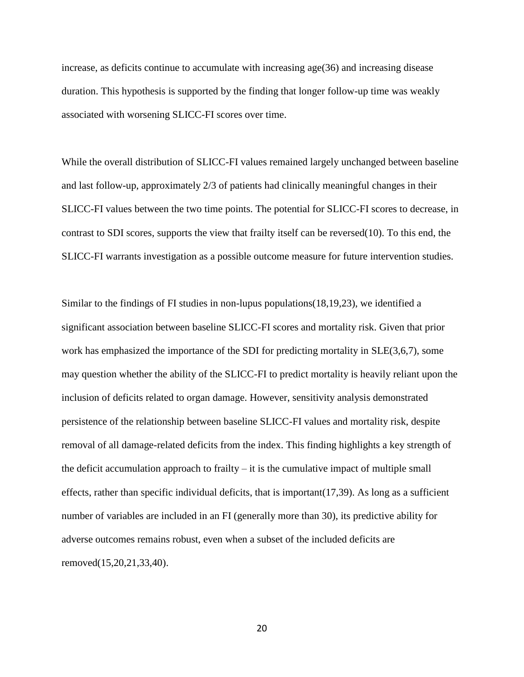increase, as deficits continue to accumulate with increasing age(36) and increasing disease duration. This hypothesis is supported by the finding that longer follow-up time was weakly associated with worsening SLICC-FI scores over time.

While the overall distribution of SLICC-FI values remained largely unchanged between baseline and last follow-up, approximately 2/3 of patients had clinically meaningful changes in their SLICC-FI values between the two time points. The potential for SLICC-FI scores to decrease, in contrast to SDI scores, supports the view that frailty itself can be reversed(10). To this end, the SLICC-FI warrants investigation as a possible outcome measure for future intervention studies.

Similar to the findings of FI studies in non-lupus populations(18,19,23), we identified a significant association between baseline SLICC-FI scores and mortality risk. Given that prior work has emphasized the importance of the SDI for predicting mortality in SLE(3,6,7), some may question whether the ability of the SLICC-FI to predict mortality is heavily reliant upon the inclusion of deficits related to organ damage. However, sensitivity analysis demonstrated persistence of the relationship between baseline SLICC-FI values and mortality risk, despite removal of all damage-related deficits from the index. This finding highlights a key strength of the deficit accumulation approach to frailty  $-$  it is the cumulative impact of multiple small effects, rather than specific individual deficits, that is important(17,39). As long as a sufficient number of variables are included in an FI (generally more than 30), its predictive ability for adverse outcomes remains robust, even when a subset of the included deficits are removed(15,20,21,33,40).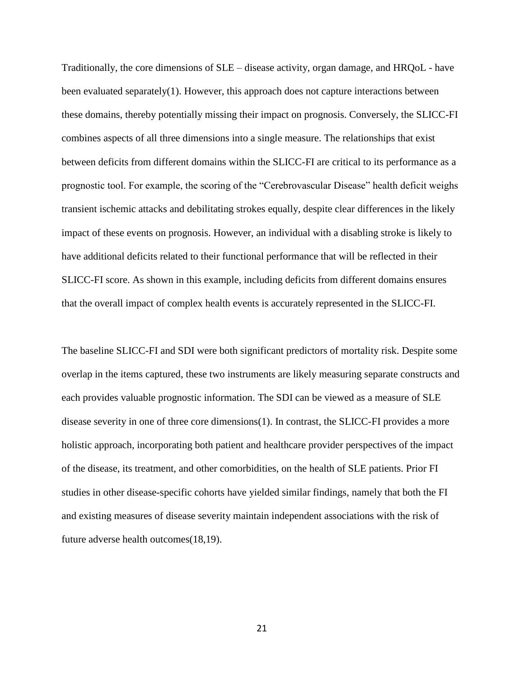Traditionally, the core dimensions of SLE – disease activity, organ damage, and HRQoL - have been evaluated separately(1). However, this approach does not capture interactions between these domains, thereby potentially missing their impact on prognosis. Conversely, the SLICC-FI combines aspects of all three dimensions into a single measure. The relationships that exist between deficits from different domains within the SLICC-FI are critical to its performance as a prognostic tool. For example, the scoring of the "Cerebrovascular Disease" health deficit weighs transient ischemic attacks and debilitating strokes equally, despite clear differences in the likely impact of these events on prognosis. However, an individual with a disabling stroke is likely to have additional deficits related to their functional performance that will be reflected in their SLICC-FI score. As shown in this example, including deficits from different domains ensures that the overall impact of complex health events is accurately represented in the SLICC-FI.

The baseline SLICC-FI and SDI were both significant predictors of mortality risk. Despite some overlap in the items captured, these two instruments are likely measuring separate constructs and each provides valuable prognostic information. The SDI can be viewed as a measure of SLE disease severity in one of three core dimensions(1). In contrast, the SLICC-FI provides a more holistic approach, incorporating both patient and healthcare provider perspectives of the impact of the disease, its treatment, and other comorbidities, on the health of SLE patients. Prior FI studies in other disease-specific cohorts have yielded similar findings, namely that both the FI and existing measures of disease severity maintain independent associations with the risk of future adverse health outcomes(18,19).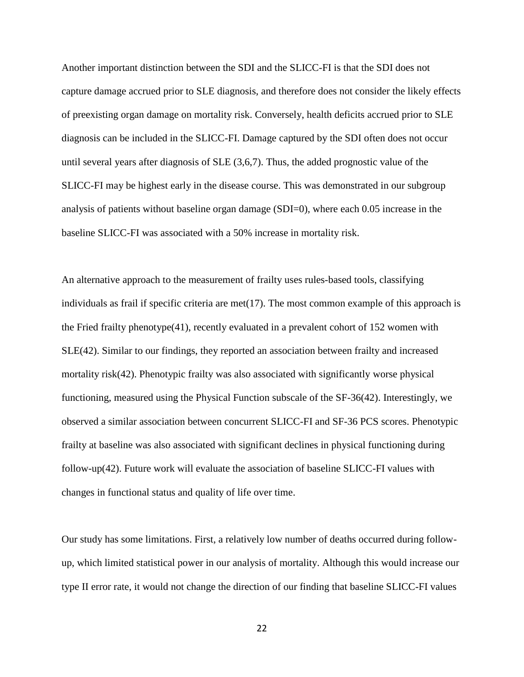Another important distinction between the SDI and the SLICC-FI is that the SDI does not capture damage accrued prior to SLE diagnosis, and therefore does not consider the likely effects of preexisting organ damage on mortality risk. Conversely, health deficits accrued prior to SLE diagnosis can be included in the SLICC-FI. Damage captured by the SDI often does not occur until several years after diagnosis of SLE (3,6,7). Thus, the added prognostic value of the SLICC-FI may be highest early in the disease course. This was demonstrated in our subgroup analysis of patients without baseline organ damage (SDI=0), where each 0.05 increase in the baseline SLICC-FI was associated with a 50% increase in mortality risk.

An alternative approach to the measurement of frailty uses rules-based tools, classifying individuals as frail if specific criteria are met $(17)$ . The most common example of this approach is the Fried frailty phenotype(41), recently evaluated in a prevalent cohort of 152 women with SLE(42). Similar to our findings, they reported an association between frailty and increased mortality risk(42). Phenotypic frailty was also associated with significantly worse physical functioning, measured using the Physical Function subscale of the SF-36(42). Interestingly, we observed a similar association between concurrent SLICC-FI and SF-36 PCS scores. Phenotypic frailty at baseline was also associated with significant declines in physical functioning during follow-up(42). Future work will evaluate the association of baseline SLICC-FI values with changes in functional status and quality of life over time.

Our study has some limitations. First, a relatively low number of deaths occurred during followup, which limited statistical power in our analysis of mortality. Although this would increase our type II error rate, it would not change the direction of our finding that baseline SLICC-FI values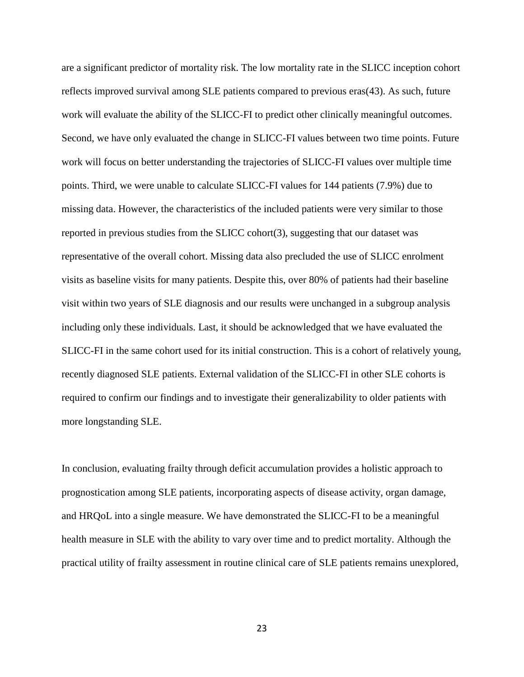are a significant predictor of mortality risk. The low mortality rate in the SLICC inception cohort reflects improved survival among SLE patients compared to previous eras(43). As such, future work will evaluate the ability of the SLICC-FI to predict other clinically meaningful outcomes. Second, we have only evaluated the change in SLICC-FI values between two time points. Future work will focus on better understanding the trajectories of SLICC-FI values over multiple time points. Third, we were unable to calculate SLICC-FI values for 144 patients (7.9%) due to missing data. However, the characteristics of the included patients were very similar to those reported in previous studies from the SLICC cohort(3), suggesting that our dataset was representative of the overall cohort. Missing data also precluded the use of SLICC enrolment visits as baseline visits for many patients. Despite this, over 80% of patients had their baseline visit within two years of SLE diagnosis and our results were unchanged in a subgroup analysis including only these individuals. Last, it should be acknowledged that we have evaluated the SLICC-FI in the same cohort used for its initial construction. This is a cohort of relatively young, recently diagnosed SLE patients. External validation of the SLICC-FI in other SLE cohorts is required to confirm our findings and to investigate their generalizability to older patients with more longstanding SLE.

In conclusion, evaluating frailty through deficit accumulation provides a holistic approach to prognostication among SLE patients, incorporating aspects of disease activity, organ damage, and HRQoL into a single measure. We have demonstrated the SLICC-FI to be a meaningful health measure in SLE with the ability to vary over time and to predict mortality. Although the practical utility of frailty assessment in routine clinical care of SLE patients remains unexplored,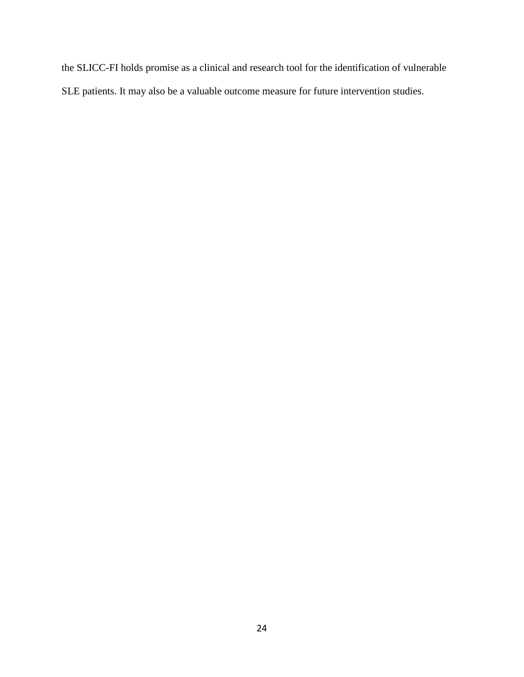the SLICC-FI holds promise as a clinical and research tool for the identification of vulnerable SLE patients. It may also be a valuable outcome measure for future intervention studies.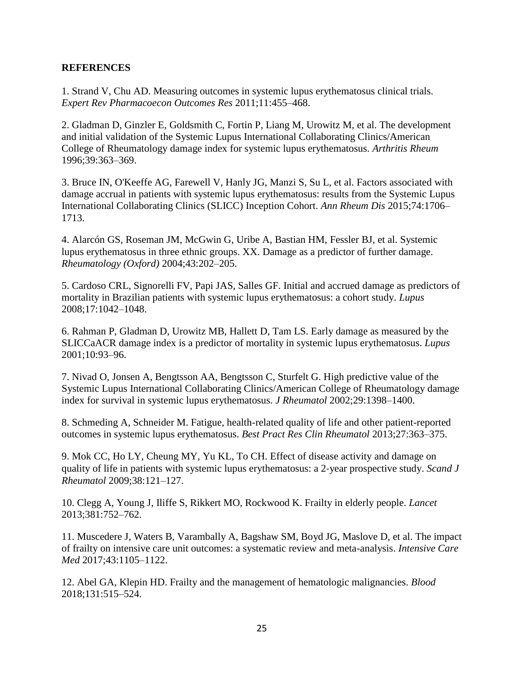# **REFERENCES**

1. Strand V, Chu AD. Measuring outcomes in systemic lupus erythematosus clinical trials. *Expert Rev Pharmacoecon Outcomes Res* 2011;11:455–468.

2. Gladman D, Ginzler E, Goldsmith C, Fortin P, Liang M, Urowitz M, et al. The development and initial validation of the Systemic Lupus International Collaborating Clinics/American College of Rheumatology damage index for systemic lupus erythematosus. *Arthritis Rheum*  1996;39:363–369.

3. Bruce IN, O'Keeffe AG, Farewell V, Hanly JG, Manzi S, Su L, et al. Factors associated with damage accrual in patients with systemic lupus erythematosus: results from the Systemic Lupus International Collaborating Clinics (SLICC) Inception Cohort. *Ann Rheum Dis* 2015;74:1706– 1713.

4. Alarcón GS, Roseman JM, McGwin G, Uribe A, Bastian HM, Fessler BJ, et al. Systemic lupus erythematosus in three ethnic groups. XX. Damage as a predictor of further damage. *Rheumatology (Oxford)* 2004;43:202–205.

5. Cardoso CRL, Signorelli FV, Papi JAS, Salles GF. Initial and accrued damage as predictors of mortality in Brazilian patients with systemic lupus erythematosus: a cohort study. *Lupus* 2008;17:1042–1048.

6. Rahman P, Gladman D, Urowitz MB, Hallett D, Tam LS. Early damage as measured by the SLICCaACR damage index is a predictor of mortality in systemic lupus erythematosus. *Lupus* 2001;10:93–96.

7. Nivad O, Jonsen A, Bengtsson AA, Bengtsson C, Sturfelt G. High predictive value of the Systemic Lupus International Collaborating Clinics/American College of Rheumatology damage index for survival in systemic lupus erythematosus. *J Rheumatol* 2002;29:1398–1400.

8. Schmeding A, Schneider M. Fatigue, health-related quality of life and other patient-reported outcomes in systemic lupus erythematosus. *Best Pract Res Clin Rheumatol* 2013;27:363–375.

9. Mok CC, Ho LY, Cheung MY, Yu KL, To CH. Effect of disease activity and damage on quality of life in patients with systemic lupus erythematosus: a 2‐year prospective study. *Scand J Rheumatol* 2009;38:121–127.

10. Clegg A, Young J, Iliffe S, Rikkert MO, Rockwood K. Frailty in elderly people. *Lancet* 2013;381:752–762.

11. Muscedere J, Waters B, Varambally A, Bagshaw SM, Boyd JG, Maslove D, et al. The impact of frailty on intensive care unit outcomes: a systematic review and meta-analysis. *Intensive Care Med* 2017;43:1105–1122.

12. Abel GA, Klepin HD. Frailty and the management of hematologic malignancies. *Blood* 2018;131:515–524.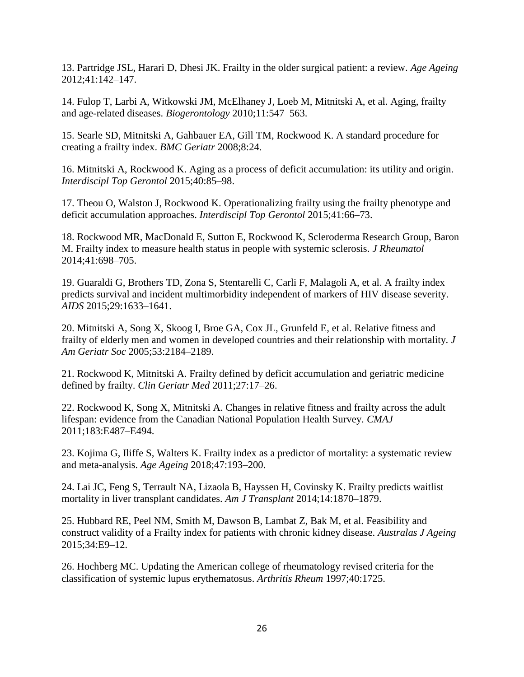13. Partridge JSL, Harari D, Dhesi JK. Frailty in the older surgical patient: a review. *Age Ageing* 2012;41:142–147.

14. Fulop T, Larbi A, Witkowski JM, McElhaney J, Loeb M, Mitnitski A, et al. Aging, frailty and age-related diseases. *Biogerontology* 2010;11:547–563.

15. Searle SD, Mitnitski A, Gahbauer EA, Gill TM, Rockwood K. A standard procedure for creating a frailty index. *BMC Geriatr* 2008;8:24.

16. Mitnitski A, Rockwood K. Aging as a process of deficit accumulation: its utility and origin. *Interdiscipl Top Gerontol* 2015;40:85–98.

17. Theou O, Walston J, Rockwood K. Operationalizing frailty using the frailty phenotype and deficit accumulation approaches. *Interdiscipl Top Gerontol* 2015;41:66–73.

18. Rockwood MR, MacDonald E, Sutton E, Rockwood K, Scleroderma Research Group, Baron M. Frailty index to measure health status in people with systemic sclerosis. *J Rheumatol* 2014;41:698–705.

19. Guaraldi G, Brothers TD, Zona S, Stentarelli C, Carli F, Malagoli A, et al. A frailty index predicts survival and incident multimorbidity independent of markers of HIV disease severity. *AIDS* 2015;29:1633–1641.

20. Mitnitski A, Song X, Skoog I, Broe GA, Cox JL, Grunfeld E, et al. Relative fitness and frailty of elderly men and women in developed countries and their relationship with mortality. *J Am Geriatr Soc* 2005;53:2184–2189.

21. Rockwood K, Mitnitski A. Frailty defined by deficit accumulation and geriatric medicine defined by frailty. *Clin Geriatr Med* 2011;27:17–26.

22. Rockwood K, Song X, Mitnitski A. Changes in relative fitness and frailty across the adult lifespan: evidence from the Canadian National Population Health Survey. *CMAJ* 2011;183:E487–E494.

23. Kojima G, Iliffe S, Walters K. Frailty index as a predictor of mortality: a systematic review and meta-analysis. *Age Ageing* 2018;47:193–200.

24. Lai JC, Feng S, Terrault NA, Lizaola B, Hayssen H, Covinsky K. Frailty predicts waitlist mortality in liver transplant candidates. *Am J Transplant* 2014;14:1870–1879.

25. Hubbard RE, Peel NM, Smith M, Dawson B, Lambat Z, Bak M, et al. Feasibility and construct validity of a Frailty index for patients with chronic kidney disease. *Australas J Ageing* 2015;34:E9–12.

26. Hochberg MC. Updating the American college of rheumatology revised criteria for the classification of systemic lupus erythematosus. *Arthritis Rheum* 1997;40:1725.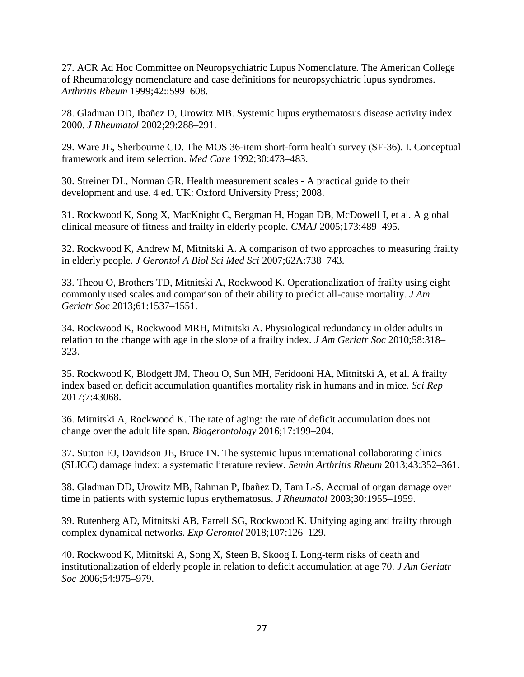27. ACR Ad Hoc Committee on Neuropsychiatric Lupus Nomenclature. The American College of Rheumatology nomenclature and case definitions for neuropsychiatric lupus syndromes. *Arthritis Rheum* 1999;42::599–608.

28. Gladman DD, Ibañez D, Urowitz MB. Systemic lupus erythematosus disease activity index 2000. *J Rheumatol* 2002;29:288–291.

29. Ware JE, Sherbourne CD. The MOS 36-item short-form health survey (SF-36). I. Conceptual framework and item selection. *Med Care* 1992;30:473–483.

30. Streiner DL, Norman GR. Health measurement scales - A practical guide to their development and use. 4 ed. UK: Oxford University Press; 2008.

31. Rockwood K, Song X, MacKnight C, Bergman H, Hogan DB, McDowell I, et al. A global clinical measure of fitness and frailty in elderly people. *CMAJ* 2005;173:489–495.

32. Rockwood K, Andrew M, Mitnitski A. A comparison of two approaches to measuring frailty in elderly people. *J Gerontol A Biol Sci Med Sci* 2007;62A:738–743.

33. Theou O, Brothers TD, Mitnitski A, Rockwood K. Operationalization of frailty using eight commonly used scales and comparison of their ability to predict all-cause mortality. *J Am Geriatr Soc* 2013;61:1537–1551.

34. Rockwood K, Rockwood MRH, Mitnitski A. Physiological redundancy in older adults in relation to the change with age in the slope of a frailty index. *J Am Geriatr Soc* 2010;58:318– 323.

35. Rockwood K, Blodgett JM, Theou O, Sun MH, Feridooni HA, Mitnitski A, et al. A frailty index based on deficit accumulation quantifies mortality risk in humans and in mice. *Sci Rep* 2017;7:43068.

36. Mitnitski A, Rockwood K. The rate of aging: the rate of deficit accumulation does not change over the adult life span. *Biogerontology* 2016;17:199–204.

37. Sutton EJ, Davidson JE, Bruce IN. The systemic lupus international collaborating clinics (SLICC) damage index: a systematic literature review. *Semin Arthritis Rheum* 2013;43:352–361.

38. Gladman DD, Urowitz MB, Rahman P, Ibañez D, Tam L-S. Accrual of organ damage over time in patients with systemic lupus erythematosus. *J Rheumatol* 2003;30:1955–1959.

39. Rutenberg AD, Mitnitski AB, Farrell SG, Rockwood K. Unifying aging and frailty through complex dynamical networks. *Exp Gerontol* 2018;107:126–129.

40. Rockwood K, Mitnitski A, Song X, Steen B, Skoog I. Long-term risks of death and institutionalization of elderly people in relation to deficit accumulation at age 70. *J Am Geriatr Soc* 2006;54:975–979.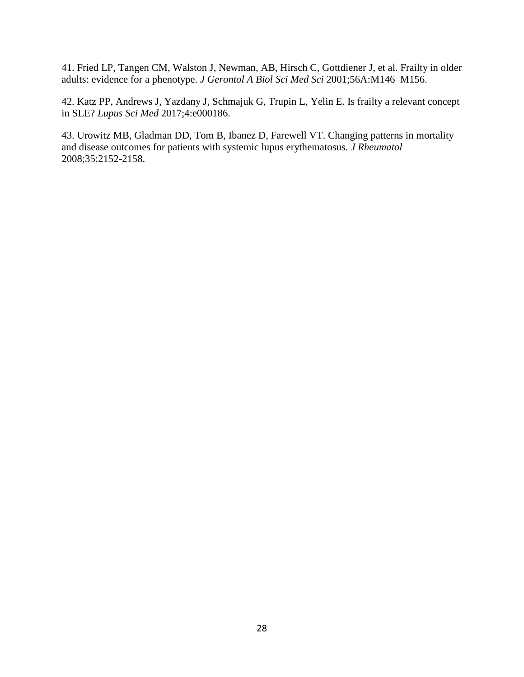41. Fried LP, Tangen CM, Walston J, Newman, AB, Hirsch C, Gottdiener J, et al. Frailty in older adults: evidence for a phenotype. *J Gerontol A Biol Sci Med Sci* 2001;56A:M146–M156.

42. Katz PP, Andrews J, Yazdany J, Schmajuk G, Trupin L, Yelin E. Is frailty a relevant concept in SLE? *Lupus Sci Med* 2017;4:e000186.

43. Urowitz MB, Gladman DD, Tom B, Ibanez D, Farewell VT. Changing patterns in mortality and disease outcomes for patients with systemic lupus erythematosus. *J Rheumatol*  2008;35:2152-2158.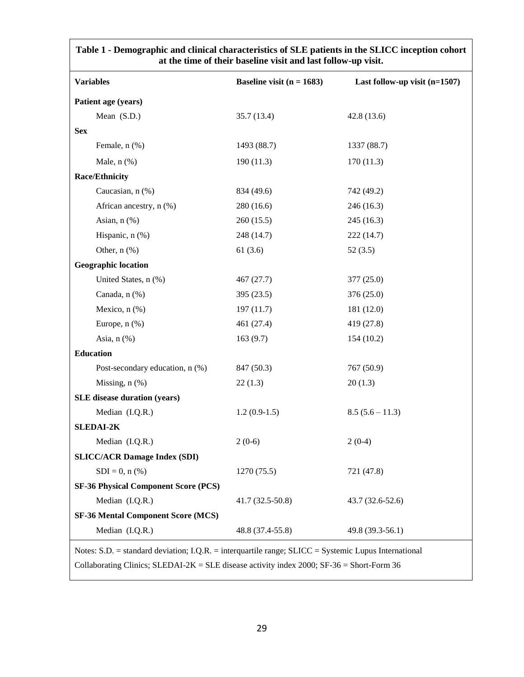| <b>Variables</b>                            | Baseline visit ( $n = 1683$ ) | Last follow-up visit $(n=1507)$ |
|---------------------------------------------|-------------------------------|---------------------------------|
| Patient age (years)                         |                               |                                 |
| Mean (S.D.)                                 | 35.7 (13.4)                   | 42.8(13.6)                      |
| <b>Sex</b>                                  |                               |                                 |
| Female, n (%)                               | 1493 (88.7)                   | 1337 (88.7)                     |
| Male, $n$ $(\%)$                            | 190(11.3)                     | 170(11.3)                       |
| <b>Race/Ethnicity</b>                       |                               |                                 |
| Caucasian, n (%)                            | 834 (49.6)                    | 742 (49.2)                      |
| African ancestry, n (%)                     | 280 (16.6)                    | 246 (16.3)                      |
| Asian, n (%)                                | 260(15.5)                     | 245 (16.3)                      |
| Hispanic, n (%)                             | 248 (14.7)                    | 222 (14.7)                      |
| Other, $n$ $%$                              | 61(3.6)                       | 52(3.5)                         |
| <b>Geographic location</b>                  |                               |                                 |
| United States, n (%)                        | 467 (27.7)                    | 377(25.0)                       |
| Canada, n (%)                               | 395 (23.5)                    | 376 (25.0)                      |
| Mexico, n (%)                               | 197(11.7)                     | 181 (12.0)                      |
| Europe, $n$ $%$                             | 461 (27.4)                    | 419 (27.8)                      |
| Asia, $n$ $(\%)$                            | 163(9.7)                      | 154(10.2)                       |
| <b>Education</b>                            |                               |                                 |
| Post-secondary education, n (%)             | 847 (50.3)                    | 767 (50.9)                      |
| Missing, $n$ $(\%)$                         | 22(1.3)                       | 20(1.3)                         |
| SLE disease duration (years)                |                               |                                 |
| Median (I.Q.R.)                             | $1.2(0.9-1.5)$                | $8.5(5.6 - 11.3)$               |
| <b>SLEDAI-2K</b>                            |                               |                                 |
| Median (I.Q.R.)                             | $2(0-6)$                      | $2(0-4)$                        |
| <b>SLICC/ACR Damage Index (SDI)</b>         |                               |                                 |
| $SDI = 0, n$ (%)                            | 1270 (75.5)                   | 721 (47.8)                      |
| <b>SF-36 Physical Component Score (PCS)</b> |                               |                                 |
| Median (I.Q.R.)                             | 41.7 (32.5-50.8)              | 43.7 (32.6-52.6)                |
| <b>SF-36 Mental Component Score (MCS)</b>   |                               |                                 |
| Median (I.Q.R.)                             | 48.8 (37.4-55.8)              | 49.8 (39.3-56.1)                |

**Table 1 - Demographic and clinical characteristics of SLE patients in the SLICC inception cohort at the time of their baseline visit and last follow-up visit.**

Collaborating Clinics; SLEDAI-2K = SLE disease activity index 2000; SF-36 = Short-Form 36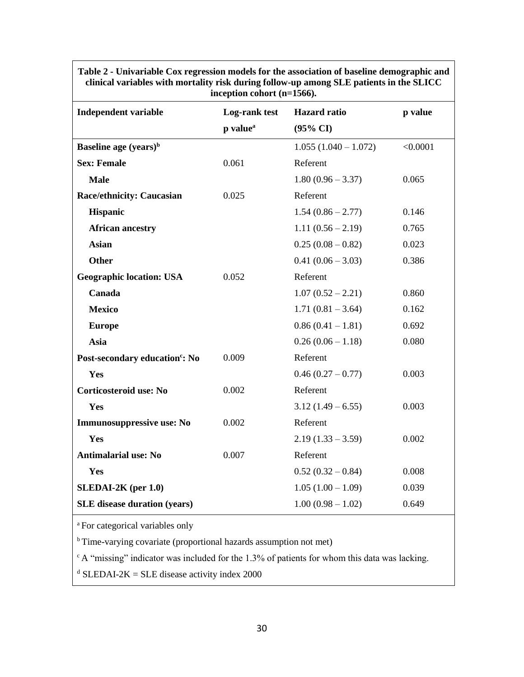| <b>Independent variable</b>                | шеерион соноге (н–тэоо).<br>Log-rank test | <b>Hazard</b> ratio    | p value  |
|--------------------------------------------|-------------------------------------------|------------------------|----------|
|                                            | p value <sup>a</sup>                      | $(95\% \text{ CI})$    |          |
| Baseline age $(years)^b$                   |                                           | $1.055(1.040 - 1.072)$ | < 0.0001 |
| <b>Sex: Female</b>                         | 0.061                                     | Referent               |          |
| <b>Male</b>                                |                                           | $1.80(0.96 - 3.37)$    | 0.065    |
| <b>Race/ethnicity: Caucasian</b>           | 0.025                                     | Referent               |          |
| <b>Hispanic</b>                            |                                           | $1.54(0.86 - 2.77)$    | 0.146    |
| <b>African ancestry</b>                    |                                           | $1.11(0.56 - 2.19)$    | 0.765    |
| <b>Asian</b>                               |                                           | $0.25(0.08-0.82)$      | 0.023    |
| <b>Other</b>                               |                                           | $0.41(0.06 - 3.03)$    | 0.386    |
| <b>Geographic location: USA</b>            | 0.052                                     | Referent               |          |
| Canada                                     |                                           | $1.07(0.52 - 2.21)$    | 0.860    |
| <b>Mexico</b>                              |                                           | $1.71(0.81 - 3.64)$    | 0.162    |
| <b>Europe</b>                              |                                           | $0.86(0.41 - 1.81)$    | 0.692    |
| Asia                                       |                                           | $0.26(0.06 - 1.18)$    | 0.080    |
| Post-secondary education <sup>c</sup> : No | 0.009                                     | Referent               |          |
| Yes                                        |                                           | $0.46(0.27-0.77)$      | 0.003    |
| Corticosteroid use: No                     | 0.002                                     | Referent               |          |
| Yes                                        |                                           | $3.12(1.49-6.55)$      | 0.003    |
| Immunosuppressive use: No                  | 0.002                                     | Referent               |          |
| Yes                                        |                                           | $2.19(1.33 - 3.59)$    | 0.002    |
| <b>Antimalarial use: No</b>                | 0.007                                     | Referent               |          |
| Yes                                        |                                           | $0.52(0.32-0.84)$      | 0.008    |
| $SLEDAI-2K$ (per 1.0)                      |                                           | $1.05(1.00 - 1.09)$    | 0.039    |
| <b>SLE</b> disease duration (years)        |                                           | $1.00(0.98 - 1.02)$    | 0.649    |

**Table 2 - Univariable Cox regression models for the association of baseline demographic and clinical variables with mortality risk during follow-up among SLE patients in the SLICC inception cohort (n=1566).**

<sup>a</sup>For categorical variables only

<sup>b</sup>Time-varying covariate (proportional hazards assumption not met)

 $\degree$  A "missing" indicator was included for the 1.3% of patients for whom this data was lacking.

 $d$  SLEDAI-2K = SLE disease activity index 2000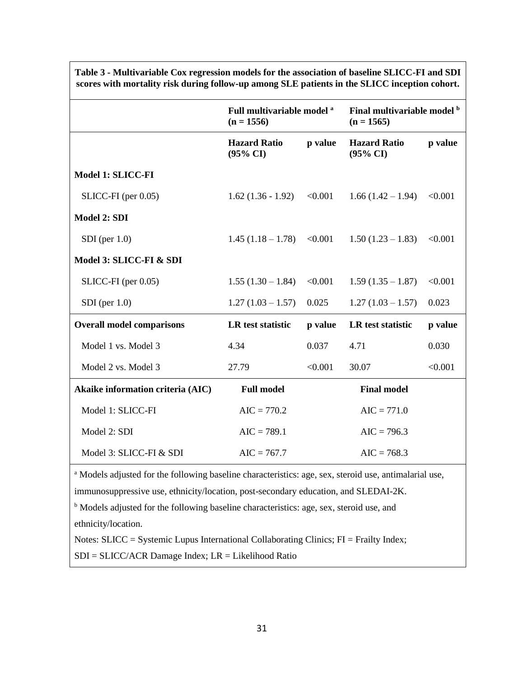|                                   | Full multivariable model <sup>a</sup><br>$(n = 1556)$ |         | Final multivariable model b<br>$(n = 1565)$ |         |
|-----------------------------------|-------------------------------------------------------|---------|---------------------------------------------|---------|
|                                   | <b>Hazard Ratio</b><br>$(95\% \text{ CI})$            | p value | <b>Hazard Ratio</b><br>$(95\% \text{ CI})$  | p value |
| Model 1: SLICC-FI                 |                                                       |         |                                             |         |
| $SLICC-FI$ (per $0.05$ )          | $1.62(1.36 - 1.92)$                                   | < 0.001 | $1.66(1.42 - 1.94)$                         | < 0.001 |
| <b>Model 2: SDI</b>               |                                                       |         |                                             |         |
| $SDI$ (per $1.0$ )                | $1.45(1.18-1.78)$                                     | < 0.001 | $1.50(1.23 - 1.83)$                         | < 0.001 |
| Model 3: SLICC-FI & SDI           |                                                       |         |                                             |         |
| $SLICC-FI$ (per $0.05$ )          | $1.55(1.30 - 1.84)$                                   | < 0.001 | $1.59(1.35 - 1.87)$                         | < 0.001 |
| $SDI$ (per 1.0)                   | $1.27(1.03 - 1.57)$                                   | 0.025   | $1.27(1.03 - 1.57)$                         | 0.023   |
| <b>Overall model comparisons</b>  | LR test statistic                                     | p value | LR test statistic                           | p value |
| Model 1 vs. Model 3               | 4.34                                                  | 0.037   | 4.71                                        | 0.030   |
| Model 2 vs. Model 3               | 27.79                                                 | < 0.001 | 30.07                                       | < 0.001 |
| Akaike information criteria (AIC) | <b>Full model</b>                                     |         | <b>Final model</b>                          |         |
| Model 1: SLICC-FI                 | $AIC = 770.2$                                         |         | $AIC = 771.0$                               |         |
| Model 2: SDI                      | $AIC = 789.1$                                         |         | $AIC = 796.3$                               |         |
| Model 3: SLICC-FI & SDI           | $AIC = 767.7$                                         |         | $AIC = 768.3$                               |         |
|                                   |                                                       |         |                                             |         |

**Table 3 - Multivariable Cox regression models for the association of baseline SLICC-FI and SDI scores with mortality risk during follow-up among SLE patients in the SLICC inception cohort.**

<sup>a</sup> Models adjusted for the following baseline characteristics: age, sex, steroid use, antimalarial use, immunosuppressive use, ethnicity/location, post-secondary education, and SLEDAI-2K.

<sup>b</sup> Models adjusted for the following baseline characteristics: age, sex, steroid use, and ethnicity/location.

Notes: SLICC = Systemic Lupus International Collaborating Clinics; FI = Frailty Index;

 $SDI = SLICC/ACR$  Damage Index;  $LR = Likelihood$  Ratio